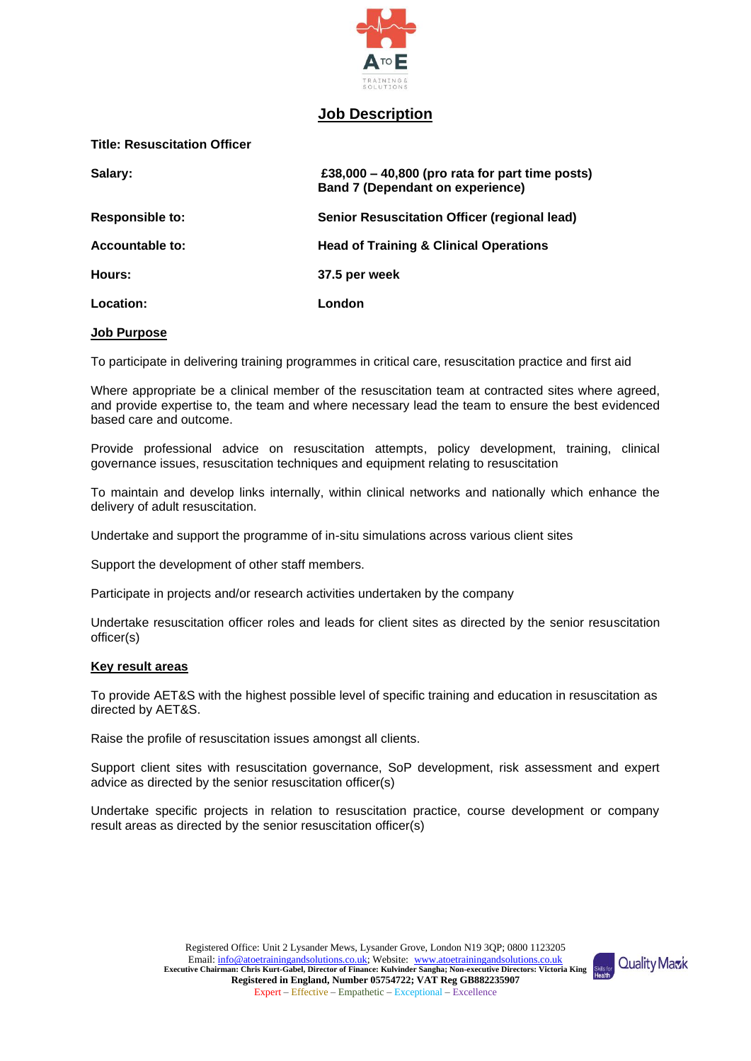

# **Job Description**

**Title: Resuscitation Officer** 

| Salary:                | £38,000 $-$ 40,800 (pro rata for part time posts)<br><b>Band 7 (Dependant on experience)</b> |
|------------------------|----------------------------------------------------------------------------------------------|
| <b>Responsible to:</b> | <b>Senior Resuscitation Officer (regional lead)</b>                                          |
| Accountable to:        | <b>Head of Training &amp; Clinical Operations</b>                                            |
| Hours:                 | 37.5 per week                                                                                |
| Location:              | London                                                                                       |

## **Job Purpose**

To participate in delivering training programmes in critical care, resuscitation practice and first aid

Where appropriate be a clinical member of the resuscitation team at contracted sites where agreed, and provide expertise to, the team and where necessary lead the team to ensure the best evidenced based care and outcome.

Provide professional advice on resuscitation attempts, policy development, training, clinical governance issues, resuscitation techniques and equipment relating to resuscitation

To maintain and develop links internally, within clinical networks and nationally which enhance the delivery of adult resuscitation.

Undertake and support the programme of in-situ simulations across various client sites

Support the development of other staff members.

Participate in projects and/or research activities undertaken by the company

Undertake resuscitation officer roles and leads for client sites as directed by the senior resuscitation officer(s)

# **Key result areas**

To provide AET&S with the highest possible level of specific training and education in resuscitation as directed by AET&S.

Raise the profile of resuscitation issues amongst all clients.

Support client sites with resuscitation governance, SoP development, risk assessment and expert advice as directed by the senior resuscitation officer(s)

Undertake specific projects in relation to resuscitation practice, course development or company result areas as directed by the senior resuscitation officer(s)

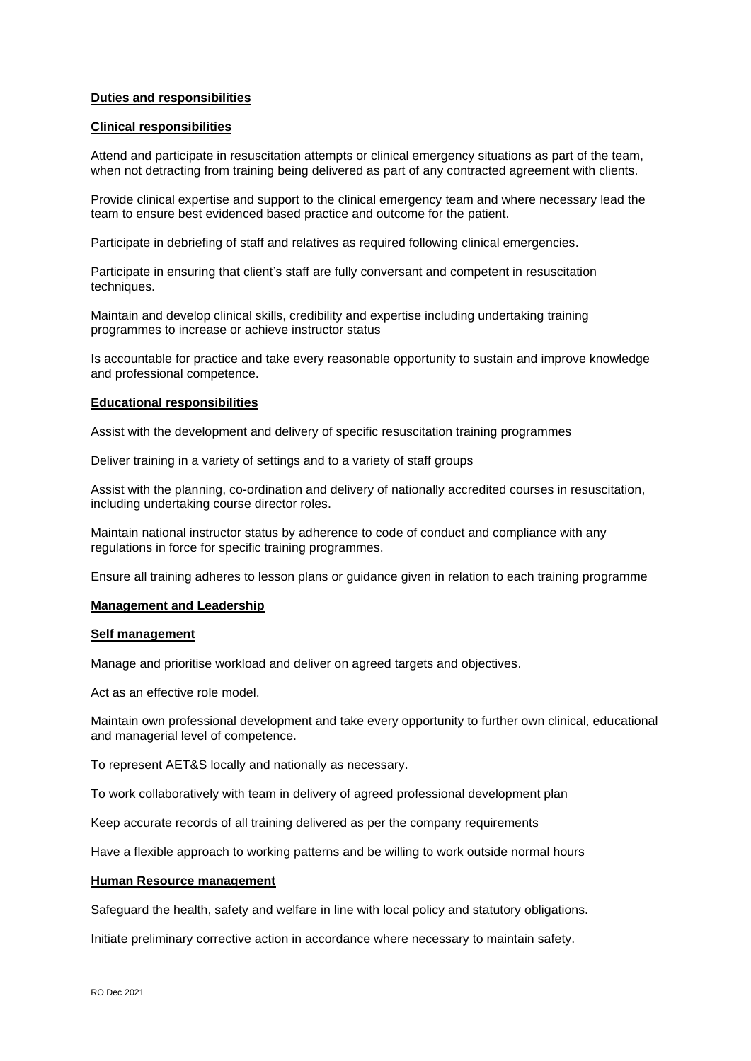# **Duties and responsibilities**

## **Clinical responsibilities**

Attend and participate in resuscitation attempts or clinical emergency situations as part of the team, when not detracting from training being delivered as part of any contracted agreement with clients.

Provide clinical expertise and support to the clinical emergency team and where necessary lead the team to ensure best evidenced based practice and outcome for the patient.

Participate in debriefing of staff and relatives as required following clinical emergencies.

Participate in ensuring that client's staff are fully conversant and competent in resuscitation techniques.

Maintain and develop clinical skills, credibility and expertise including undertaking training programmes to increase or achieve instructor status

Is accountable for practice and take every reasonable opportunity to sustain and improve knowledge and professional competence.

## **Educational responsibilities**

Assist with the development and delivery of specific resuscitation training programmes

Deliver training in a variety of settings and to a variety of staff groups

Assist with the planning, co-ordination and delivery of nationally accredited courses in resuscitation, including undertaking course director roles.

Maintain national instructor status by adherence to code of conduct and compliance with any regulations in force for specific training programmes.

Ensure all training adheres to lesson plans or guidance given in relation to each training programme

## **Management and Leadership**

#### **Self management**

Manage and prioritise workload and deliver on agreed targets and objectives.

Act as an effective role model.

Maintain own professional development and take every opportunity to further own clinical, educational and managerial level of competence.

To represent AET&S locally and nationally as necessary.

To work collaboratively with team in delivery of agreed professional development plan

Keep accurate records of all training delivered as per the company requirements

Have a flexible approach to working patterns and be willing to work outside normal hours

# **Human Resource management**

Safeguard the health, safety and welfare in line with local policy and statutory obligations.

Initiate preliminary corrective action in accordance where necessary to maintain safety.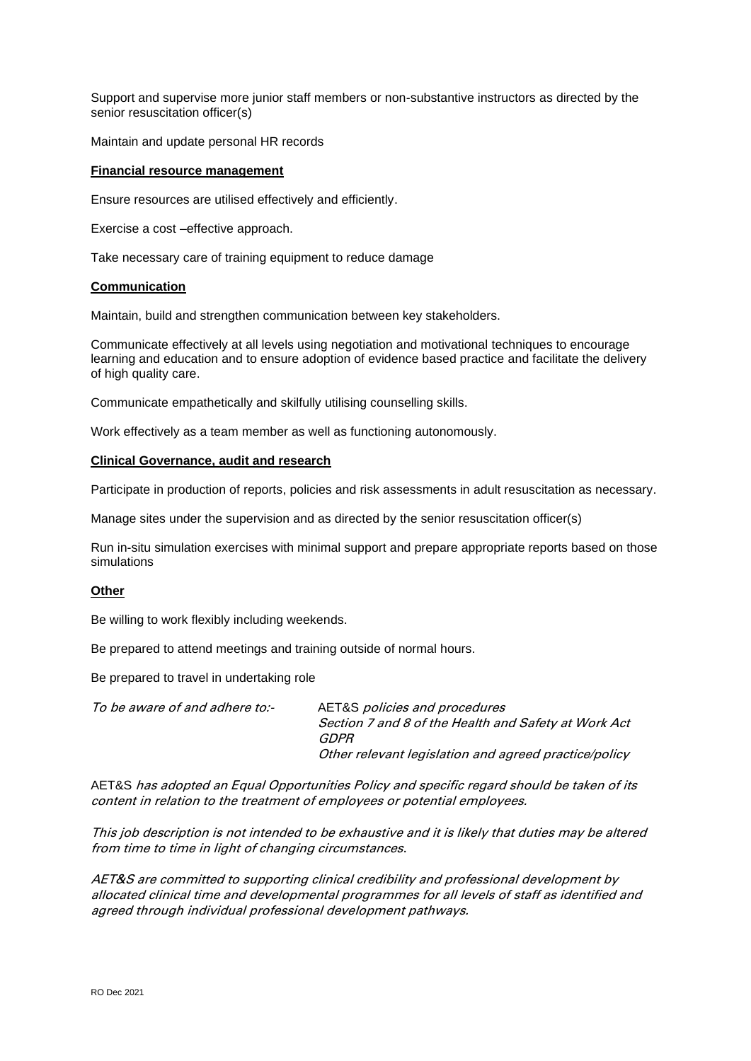Support and supervise more junior staff members or non-substantive instructors as directed by the senior resuscitation officer(s)

Maintain and update personal HR records

## **Financial resource management**

Ensure resources are utilised effectively and efficiently.

Exercise a cost –effective approach.

Take necessary care of training equipment to reduce damage

### **Communication**

Maintain, build and strengthen communication between key stakeholders.

Communicate effectively at all levels using negotiation and motivational techniques to encourage learning and education and to ensure adoption of evidence based practice and facilitate the delivery of high quality care.

Communicate empathetically and skilfully utilising counselling skills.

Work effectively as a team member as well as functioning autonomously.

# **Clinical Governance, audit and research**

Participate in production of reports, policies and risk assessments in adult resuscitation as necessary.

Manage sites under the supervision and as directed by the senior resuscitation officer(s)

Run in-situ simulation exercises with minimal support and prepare appropriate reports based on those simulations

# **Other**

Be willing to work flexibly including weekends.

Be prepared to attend meetings and training outside of normal hours.

Be prepared to travel in undertaking role

| To be aware of and adhere to:- | AET&S <i>policies and procedures</i>                  |
|--------------------------------|-------------------------------------------------------|
|                                | Section 7 and 8 of the Health and Safety at Work Act  |
|                                | GDPR                                                  |
|                                | Other relevant legislation and agreed practice/policy |

AET&S has adopted an Equal Opportunities Policy and specific regard should be taken of its content in relation to the treatment of employees or potential employees.

This job description is not intended to be exhaustive and it is likely that duties may be altered from time to time in light of changing circumstances.

AET&S are committed to supporting clinical credibility and professional development by allocated clinical time and developmental programmes for all levels of staff as identified and agreed through individual professional development pathways.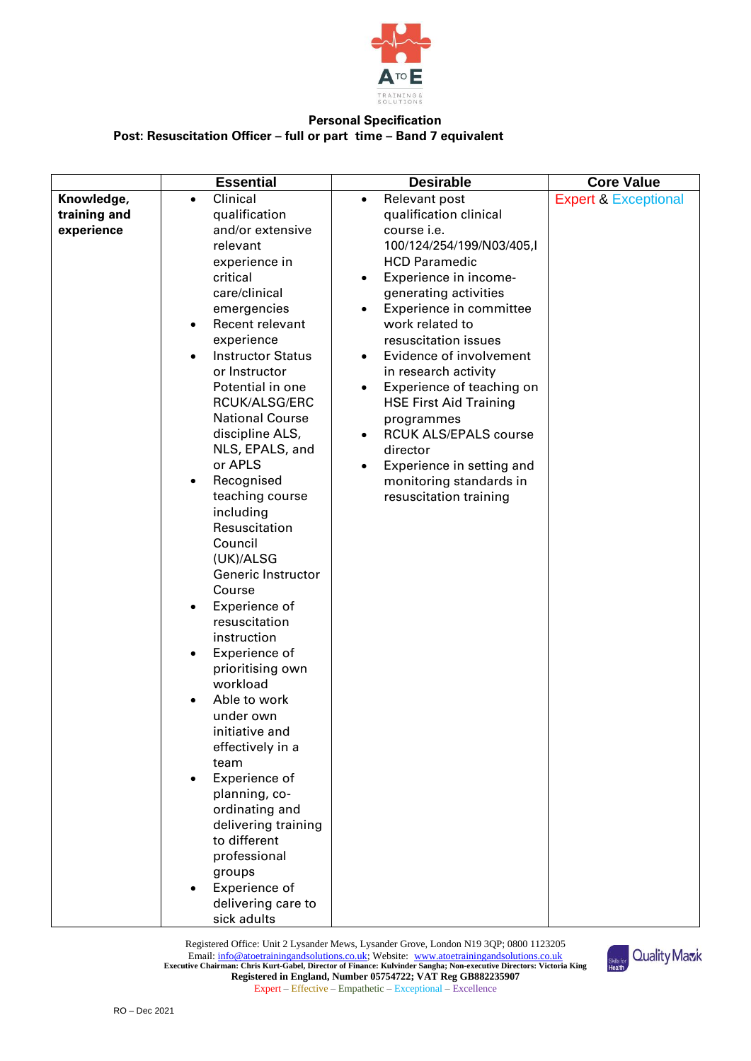

# **Personal Specification Post: Resuscitation Officer – full or part time – Band 7 equivalent**

|              | <b>Essential</b>                      | <b>Desirable</b>                                      | <b>Core Value</b>               |
|--------------|---------------------------------------|-------------------------------------------------------|---------------------------------|
| Knowledge,   | Clinical<br>$\bullet$                 | Relevant post<br>$\bullet$                            | <b>Expert &amp; Exceptional</b> |
| training and | qualification                         | qualification clinical                                |                                 |
| experience   | and/or extensive                      | course i.e.                                           |                                 |
|              | relevant                              | 100/124/254/199/N03/405,I                             |                                 |
|              | experience in                         | <b>HCD Paramedic</b>                                  |                                 |
|              | critical                              | Experience in income-                                 |                                 |
|              | care/clinical                         | generating activities                                 |                                 |
|              | emergencies                           | Experience in committee                               |                                 |
|              | Recent relevant<br>$\bullet$          | work related to                                       |                                 |
|              | experience                            | resuscitation issues                                  |                                 |
|              | <b>Instructor Status</b><br>$\bullet$ | Evidence of involvement<br>٠                          |                                 |
|              | or Instructor                         | in research activity                                  |                                 |
|              | Potential in one                      | Experience of teaching on<br>$\bullet$                |                                 |
|              | RCUK/ALSG/ERC                         | <b>HSE First Aid Training</b>                         |                                 |
|              | <b>National Course</b>                | programmes                                            |                                 |
|              | discipline ALS,<br>NLS, EPALS, and    | <b>RCUK ALS/EPALS course</b><br>$\bullet$<br>director |                                 |
|              | or APLS                               | Experience in setting and                             |                                 |
|              | Recognised<br>$\bullet$               | ٠<br>monitoring standards in                          |                                 |
|              | teaching course                       | resuscitation training                                |                                 |
|              | including                             |                                                       |                                 |
|              | Resuscitation                         |                                                       |                                 |
|              | Council                               |                                                       |                                 |
|              | (UK)/ALSG                             |                                                       |                                 |
|              | Generic Instructor                    |                                                       |                                 |
|              | Course                                |                                                       |                                 |
|              | Experience of<br>$\bullet$            |                                                       |                                 |
|              | resuscitation                         |                                                       |                                 |
|              | instruction                           |                                                       |                                 |
|              | Experience of<br>$\bullet$            |                                                       |                                 |
|              | prioritising own                      |                                                       |                                 |
|              | workload                              |                                                       |                                 |
|              | Able to work<br>$\bullet$             |                                                       |                                 |
|              | under own                             |                                                       |                                 |
|              | initiative and                        |                                                       |                                 |
|              | effectively in a                      |                                                       |                                 |
|              | team                                  |                                                       |                                 |
|              | Experience of                         |                                                       |                                 |
|              | planning, co-                         |                                                       |                                 |
|              | ordinating and                        |                                                       |                                 |
|              | delivering training                   |                                                       |                                 |
|              | to different                          |                                                       |                                 |
|              | professional                          |                                                       |                                 |
|              | groups                                |                                                       |                                 |
|              | Experience of                         |                                                       |                                 |
|              | delivering care to                    |                                                       |                                 |
|              | sick adults                           |                                                       |                                 |

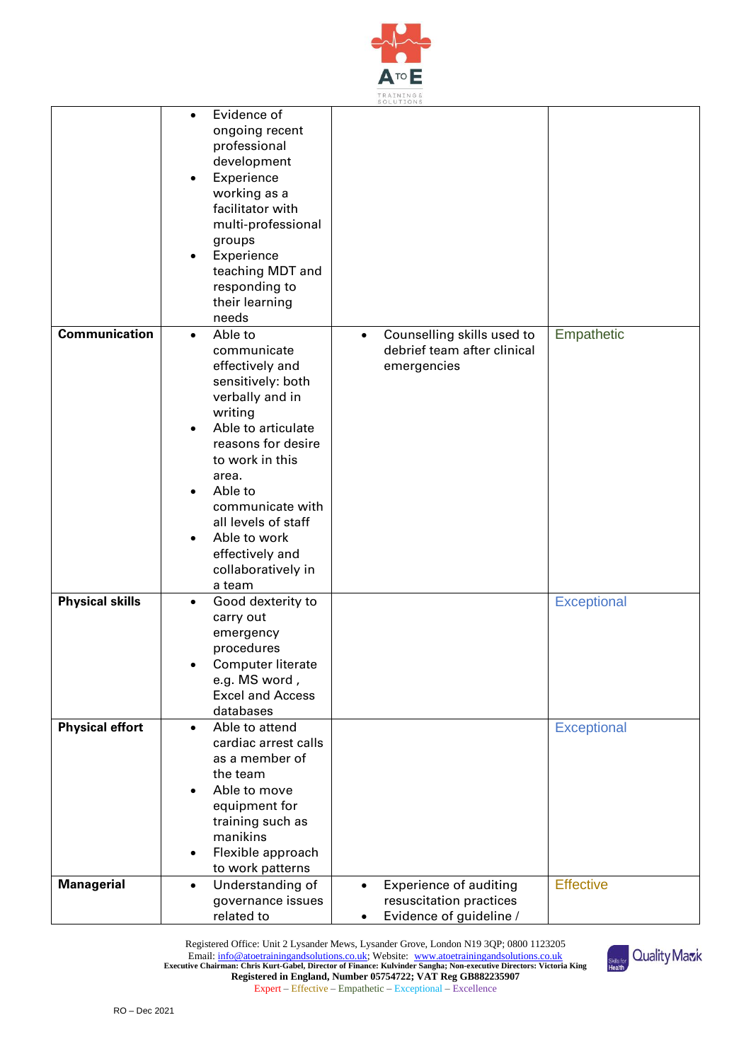

|                        |                                                                                                                                                                                                                                                                                                 | <b>SOLUITONS</b>                                                                                 |                    |
|------------------------|-------------------------------------------------------------------------------------------------------------------------------------------------------------------------------------------------------------------------------------------------------------------------------------------------|--------------------------------------------------------------------------------------------------|--------------------|
| <b>Communication</b>   | Evidence of<br>ongoing recent<br>professional<br>development<br>Experience<br>working as a<br>facilitator with<br>multi-professional<br>groups<br>Experience<br>٠<br>teaching MDT and<br>responding to<br>their learning<br>needs<br>Able to                                                    |                                                                                                  |                    |
|                        | $\bullet$<br>communicate<br>effectively and<br>sensitively: both<br>verbally and in<br>writing<br>Able to articulate<br>reasons for desire<br>to work in this<br>area.<br>Able to<br>communicate with<br>all levels of staff<br>Able to work<br>effectively and<br>collaboratively in<br>a team | Counselling skills used to<br>$\bullet$<br>debrief team after clinical<br>emergencies            | Empathetic         |
| <b>Physical skills</b> | Good dexterity to<br>$\bullet$<br>carry out<br>emergency<br>procedures<br>Computer literate<br>e.g. MS word,<br><b>Excel and Access</b><br>databases                                                                                                                                            |                                                                                                  | <b>Exceptional</b> |
| <b>Physical effort</b> | Able to attend<br>$\bullet$<br>cardiac arrest calls<br>as a member of<br>the team<br>Able to move<br>equipment for<br>training such as<br>manikins<br>Flexible approach<br>٠<br>to work patterns                                                                                                |                                                                                                  | <b>Exceptional</b> |
| <b>Managerial</b>      | Understanding of<br>$\bullet$<br>governance issues<br>related to                                                                                                                                                                                                                                | <b>Experience of auditing</b><br>$\bullet$<br>resuscitation practices<br>Evidence of guideline / | <b>Effective</b>   |